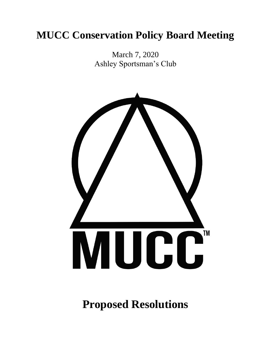# **MUCC Conservation Policy Board Meeting**

March 7, 2020 Ashley Sportsman's Club



**Proposed Resolutions**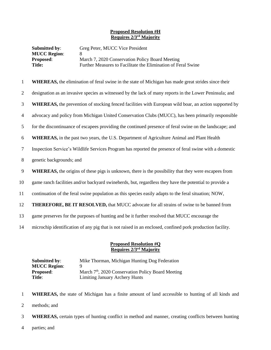## **Proposed Resolution #H Requires 2/3rd Majority**

| <b>Submitted by:</b><br><b>MUCC Region:</b> | Greg Peter, MUCC Vice President                               |
|---------------------------------------------|---------------------------------------------------------------|
| <b>Proposed:</b>                            | March 7, 2020 Conservation Policy Board Meeting               |
| Title:                                      | Further Measures to Facilitate the Elimination of Feral Swine |

| $\mathbf{1}$ | <b>WHEREAS</b> , the elimination of feral swine in the state of Michigan has made great strides since their   |
|--------------|---------------------------------------------------------------------------------------------------------------|
| 2            | designation as an invasive species as witnessed by the lack of many reports in the Lower Peninsula; and       |
| 3            | <b>WHEREAS</b> , the prevention of stocking fenced facilities with European wild boar, an action supported by |
| 4            | advocacy and policy from Michigan United Conservation Clubs (MUCC), has been primarily responsible            |
| 5            | for the discontinuance of escapees providing the continued presence of feral swine on the landscape; and      |
| 6            | <b>WHEREAS</b> , in the past two years, the U.S. Department of Agriculture Animal and Plant Health            |
| $\tau$       | Inspection Service's Wildlife Services Program has reported the presence of feral swine with a domestic       |
| 8            | genetic backgrounds; and                                                                                      |
| 9            | <b>WHEREAS</b> , the origins of these pigs is unknown, there is the possibility that they were escapees from  |
| 10           | game ranch facilities and/or backyard swineherds, but, regardless they have the potential to provide a        |
| 11           | continuation of the feral swine population as this species easily adapts to the feral situation; NOW,         |
| 12           | <b>THEREFORE, BE IT RESOLVED, that MUCC advocate for all strains of swine to be banned from</b>               |
| 13           | game preserves for the purposes of hunting and be it further resolved that MUCC encourage the                 |
| 14           | microchip identification of any pig that is not raised in an enclosed, confined pork production facility.     |
|              |                                                                                                               |

## **Proposed Resolution #Q Requires 2/3rd Majority**

| Submitted by:       | Mike Thorman, Michigan Hunting Dog Federation                  |
|---------------------|----------------------------------------------------------------|
| <b>MUCC Region:</b> | Ч                                                              |
| <b>Proposed:</b>    | March 7 <sup>th</sup> , 2020 Conservation Policy Board Meeting |
| Title:              | <b>Limiting January Archery Hunts</b>                          |

- 1 **WHEREAS,** the state of Michigan has a finite amount of land accessible to hunting of all kinds and
- 2 methods; and
- 3 **WHEREAS,** certain types of hunting conflict in method and manner, creating conflicts between hunting
- 4 parties; and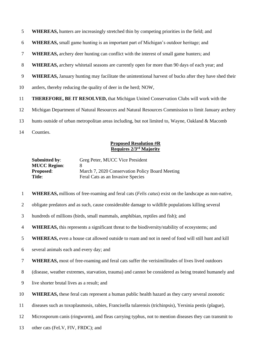**WHEREAS,** hunters are increasingly stretched thin by competing priorities in the field; and

**WHEREAS,** small game hunting is an important part of Michigan's outdoor heritage; and

- **WHEREAS,** archery deer hunting can conflict with the interest of small game hunters; and
- **WHEREAS,** archery whitetail seasons are currently open for more than 90 days of each year; and
- **WHEREAS,** January hunting may facilitate the unintentional harvest of bucks after they have shed their
- antlers, thereby reducing the quality of deer in the herd; NOW,
- **THEREFORE, BE IT RESOLVED,** that Michigan United Conservation Clubs will work with the
- Michigan Department of Natural Resources and Natural Resources Commission to limit January archery
- hunts outside of urban metropolitan areas including, but not limited to, Wayne, Oakland & Macomb
- Counties.

# **Proposed Resolution #R Requires 2/3rd Majority**

| <b>Submitted by:</b> | Greg Peter, MUCC Vice President                 |
|----------------------|-------------------------------------------------|
| <b>MUCC Region:</b>  |                                                 |
| <b>Proposed:</b>     | March 7, 2020 Conservation Policy Board Meeting |
| Title:               | Feral Cats as an Invasive Species               |

- **WHEREAS,** millions of free-roaming and feral cats (*Felis catus*) exist on the landscape as non-native,
- obligate predators and as such, cause considerable damage to wildlife populations killing several
- hundreds of millions (birds, small mammals, amphibian, reptiles and fish); and
- **WHEREAS,** this represents a significant threat to the biodiversity/stability of ecosystems; and
- **WHEREAS,** even a house cat allowed outside to roam and not in need of food will still hunt and kill
- several animals each and every day; and
- **WHEREAS,** most of free-roaming and feral cats suffer the verisimilitudes of lives lived outdoors
- (disease, weather extremes, starvation, trauma) and cannot be considered as being treated humanely and
- live shorter brutal lives as a result; and
- **WHEREAS,** these feral cats represent a human public health hazard as they carry several zoonotic
- diseases such as toxoplasmosis, rabies, Francisella tularensis (trichinpsis), Yersinia pestis (plague),
- Microsporum canis (ringworm), and fleas carrying typhus, not to mention diseases they can transmit to
- other cats (FeLV, FIV, FRDC); and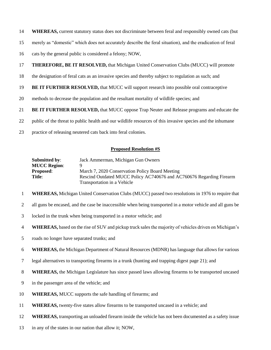- **WHEREAS,** current statutory status does not discriminate between feral and responsibly owned cats (but
- merely as "domestic" which does not accurately describe the feral situation), and the eradication of feral
- cats by the general public is considered a felony; NOW,
- **THEREFORE, BE IT RESOLVED,** that Michigan United Conservation Clubs (MUCC) will promote
- the designation of feral cats as an invasive species and thereby subject to regulation as such; and
- **BE IT FURTHER RESOLVED,** that MUCC will support research into possible oral contraceptive
- methods to decrease the population and the resultant mortality of wildlife species; and
- **BE IT FURTHER RESOLVED,** that MUCC oppose Trap Neuter and Release programs and educate the
- public of the threat to public health and our wildlife resources of this invasive species and the inhumane
- practice of releasing neutered cats back into feral colonies.

## **Proposed Resolution #S**

| Submitted by:       | Jack Ammerman, Michigan Gun Owners                                   |
|---------------------|----------------------------------------------------------------------|
| <b>MUCC Region:</b> |                                                                      |
| <b>Proposed:</b>    | March 7, 2020 Conservation Policy Board Meeting                      |
| <b>Title:</b>       | Rescind Outdated MUCC Policy AC740676 and AC760676 Regarding Firearm |
|                     | Transportation in a Vehicle                                          |

- **WHEREAS,** Michigan United Conservation Clubs (MUCC) passed two resolutions in 1976 to require that
- all guns be encased, and the case be inaccessible when being transported in a motor vehicle and all guns be
- locked in the trunk when being transported in a motor vehicle; and
- **WHEREAS,** based on the rise of SUV and pickup truck sales the majority of vehicles driven on Michigan's
- roads no longer have separated trunks; and
- **WHEREAS,** the Michigan Department of Natural Resources (MDNR) has language that allows for various
- legal alternatives to transporting firearms in a trunk (hunting and trapping digest page 21); and
- **WHEREAS,** the Michigan Legislature has since passed laws allowing firearms to be transported uncased
- in the passenger area of the vehicle; and
- **WHEREAS,** MUCC supports the safe handling of firearms; and
- **WHEREAS,** twenty-five states allow firearms to be transported uncased in a vehicle; and
- **WHEREAS,** transporting an unloaded firearm inside the vehicle has not been documented as a safety issue
- in any of the states in our nation that allow it; NOW,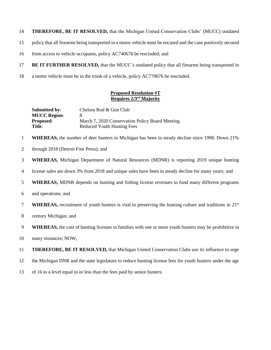## **THEREFORE, BE IT RESOLVED,** that the Michigan United Conservation Clubs' (MUCC) outdated

- policy that all firearms being transported in a motor vehicle must be encased and the case positively secured
- 16 from access to vehicle occupants, policy AC740676 be rescinded; and
- **BE IT FURTHER RESOLVED,** that the MUCC's outdated policy that all firearms being transported in
- a motor vehicle must be in the trunk of a vehicle, policy AC770676 be rescinded.

## **Proposed Resolution #T Requires 2/3rd Majority**

| <b>Submitted by:</b> | Chelsea Rod & Gun Club                          |
|----------------------|-------------------------------------------------|
| <b>MUCC Region:</b>  | x                                               |
| <b>Proposed:</b>     | March 7, 2020 Conservation Policy Board Meeting |
| Title:               | Reduced Youth Hunting Fees                      |

- **WHEREAS,** the number of deer hunters in Michigan has been in steady decline since 1998. Down 21%
- 2 through 2018 (Detroit Free Press); and
- **WHEREAS,** Michigan Department of Natural Resources (MDNR) is reporting 2019 unique hunting
- license sales are down 3% from 2018 and unique sales have been in steady decline for many years; and
- **WHEREAS,** MDNR depends on hunting and fishing license revenues to fund many different programs
- and operations; and
- **WHEREAS,** recruitment of youth hunters is vital to preserving the hunting culture and traditions in  $21<sup>st</sup>$
- century Michigan; and
- **WHEREAS,** the cost of hunting licenses to families with one or more youth hunters may be prohibitive in
- many instances; NOW,

**THEREFORE, BE IT RESOLVED,** that Michigan United Conservation Clubs use its influence to urge

- the Michigan DNR and the state legislature to reduce hunting license fees for youth hunters under the age
- of 16 to a level equal to or less than the fees paid by senior hunters.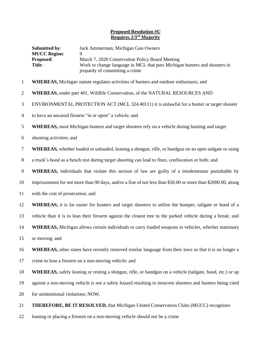## **Proposed Resolution #U Requires 2/3rd Majority**

|                | Submitted by:<br><b>MUCC Region:</b><br>Proposed:<br>Title:                                                  | Jack Ammerman, Michigan Gun Owners<br>March 7, 2020 Conservation Policy Board Meeting<br>Work to change language in MCL that puts Michigan hunters and shooters in<br>jeopardy of committing a crime |
|----------------|--------------------------------------------------------------------------------------------------------------|------------------------------------------------------------------------------------------------------------------------------------------------------------------------------------------------------|
| $\mathbf{1}$   |                                                                                                              | <b>WHEREAS</b> , Michigan statute regulates activities of hunters and outdoor enthusiasts; and                                                                                                       |
| $\overline{2}$ |                                                                                                              | <b>WHEREAS, under part 401, Wildlife Conservation, of the NATURAL RESOURCES AND</b>                                                                                                                  |
| 3              | ENVIRONMENTAL PROTECTION ACT (MCL 324.40111) it is unlawful for a hunter or target shooter                   |                                                                                                                                                                                                      |
| $\overline{4}$ | to have an uncased firearm "in or upon" a vehicle; and                                                       |                                                                                                                                                                                                      |
| 5              | <b>WHEREAS</b> , most Michigan hunters and target shooters rely on a vehicle during hunting and target       |                                                                                                                                                                                                      |
| 6              | shooting activities; and                                                                                     |                                                                                                                                                                                                      |
| $\tau$         |                                                                                                              | WHEREAS, whether loaded or unloaded, leaning a shotgun, rifle, or handgun on an open tailgate or using                                                                                               |
| $8\,$          |                                                                                                              | a truck's hood as a bench rest during target shooting can lead to fines, confiscation or both; and                                                                                                   |
| 9              |                                                                                                              | WHEREAS, individuals that violate this section of law are guilty of a misdemeanor punishable by                                                                                                      |
| 10             | imprisonment for not more than 90 days, and/or a fine of not less than \$50.00 or more than \$2000.00, along |                                                                                                                                                                                                      |
| 11             | with the cost of prosecution; and                                                                            |                                                                                                                                                                                                      |
| 12             |                                                                                                              | <b>WHEREAS</b> , it is far easier for hunters and target shooters to utilize the bumper, tailgate or hood of a                                                                                       |
| 13             |                                                                                                              | vehicle than it is to lean their firearm against the closest tree to the parked vehicle during a break; and                                                                                          |
| 14             |                                                                                                              | <b>WHEREAS,</b> Michigan allows certain individuals to carry loaded weapons in vehicles, whether stationary                                                                                          |
| 15             | or moving; and                                                                                               |                                                                                                                                                                                                      |
| 16             |                                                                                                              | <b>WHEREAS</b> , other states have recently removed similar language from their laws so that it is no longer a                                                                                       |
| 17             |                                                                                                              | crime to lean a firearm on a non-moving vehicle; and                                                                                                                                                 |

**WHEREAS,** safely leaning or resting a shotgun, rifle, or handgun on a vehicle (tailgate, hood, etc.) or up

against a non-moving vehicle is not a safety hazard resulting in innocent shooters and hunters being cited

20 for unintentional violations; NOW,

**THEREFORE, BE IT RESOLVED,** that Michigan United Conservation Clubs (MUCC) recognizes

leaning or placing a firearm on a non-moving vehicle should not be a crime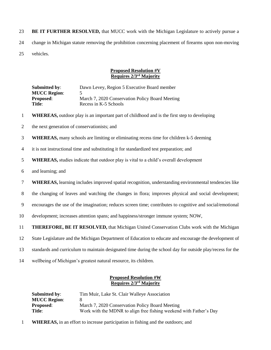23 **BE IT FURTHER RESOLVED,** that MUCC work with the Michigan Legislature to actively pursue a 24 change in Michigan statute removing the prohibition concerning placement of firearms upon non-moving 25 vehicles.

# **Proposed Resolution #V Requires 2/3rd Majority**

| <b>Submitted by:</b> | Dawn Levey, Region 5 Executive Board member     |
|----------------------|-------------------------------------------------|
| <b>MUCC Region:</b>  |                                                 |
| <b>Proposed:</b>     | March 7, 2020 Conservation Policy Board Meeting |
| Title:               | Recess in K-5 Schools                           |

- **1 WHEREAS,** outdoor play is an important part of childhood and is the first step to developing
- 2 the next generation of conservationists; and
- 3 **WHEREAS,** many schools are limiting or eliminating recess time for children k-5 deeming
- 4 it is not instructional time and substituting it for standardized test preparation; and
- 5 **WHEREAS,** studies indicate that outdoor play is vital to a child's overall development
- 6 and learning; and
- 7 **WHEREAS,** learning includes improved spatial recognition, understanding environmental tendencies like
- 8 the changing of leaves and watching the changes in flora; improves physical and social development;
- 9 encourages the use of the imagination; reduces screen time; contributes to cognitive and social/emotional
- 10 development; increases attention spans; and happiness/stronger immune system; NOW,
- 11 **THEREFORE, BE IT RESOLVED,** that Michigan United Conservation Clubs work with the Michigan
- 12 State Legislature and the Michigan Department of Education to educate and encourage the development of
- 13 standards and curriculum to maintain designated time during the school day for outside play/recess for the
- 14 wellbeing of Michigan's greatest natural resource, its children.

## **Proposed Resolution #W Requires 2/3rd Majority**

| Submitted by:       | Tim Muir, Lake St. Clair Walleye Association                       |
|---------------------|--------------------------------------------------------------------|
| <b>MUCC Region:</b> | x                                                                  |
| <b>Proposed:</b>    | March 7, 2020 Conservation Policy Board Meeting                    |
| Title:              | Work with the MDNR to align free fishing weekend with Father's Day |

1 **WHEREAS,** in an effort to increase participation in fishing and the outdoors; and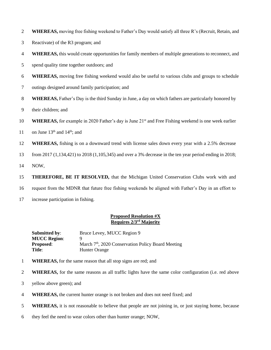- **WHEREAS**, moving free fishing weekend to Father's Day would satisfy all three R's (Recruit, Retain, and
- Reactivate) of the R3 program; and
- **WHEREAS,** this would create opportunities for family members of multiple generations to reconnect, and
- spend quality time together outdoors; and
- **WHEREAS,** moving free fishing weekend would also be useful to various clubs and groups to schedule
- outings designed around family participation; and
- **WHEREAS,** Father's Day is the third Sunday in June, a day on which fathers are particularly honored by
- their children; and
- 10 **WHEREAS,** for example in 2020 Father's day is June 21<sup>st</sup> and Free Fishing weekend is one week earlier
- 11 on June  $13<sup>th</sup>$  and  $14<sup>th</sup>$ ; and
- **WHEREAS,** fishing is on a downward trend with license sales down every year with a 2.5% decrease

from 2017 (1,134,421) to 2018 (1,105,345) and over a 3% decrease in the ten year period ending in 2018;

NOW,

**THEREFORE, BE IT RESOLVED,** that the Michigan United Conservation Clubs work with and

request from the MDNR that future free fishing weekends be aligned with Father's Day in an effort to

increase participation in fishing.

## **Proposed Resolution #X Requires 2/3rd Majority**

| Submitted by:       | Bruce Levey, MUCC Region 9                                     |
|---------------------|----------------------------------------------------------------|
| <b>MUCC Region:</b> |                                                                |
| <b>Proposed:</b>    | March 7 <sup>th</sup> , 2020 Conservation Policy Board Meeting |
| Title:              | Hunter Orange                                                  |

- **WHEREAS,** for the same reason that all stop signs are red; and
- **WHEREAS,** for the same reasons as all traffic lights have the same color configuration (i.e. red above
- yellow above green); and
- **WHEREAS,** the current hunter orange is not broken and does not need fixed; and
- **WHEREAS**, it is not reasonable to believe that people are not joining in, or just staying home, because
- they feel the need to wear colors other than hunter orange; NOW,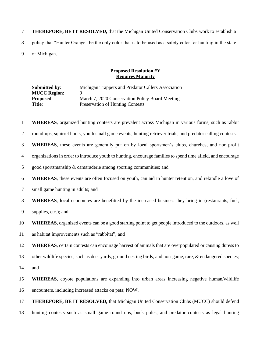**THEREFORE, BE IT RESOLVED,** that the Michigan United Conservation Clubs work to establish a policy that "Hunter Orange" be the only color that is to be used as a safety color for hunting in the state of Michigan.

## **Proposed Resolution #Y Requires Majority**

**Submitted by**: Michigan Trappers and Predator Callers Association **MUCC Region: Proposed:** March 7, 2020 Conservation Policy Board Meeting **Title:** Preservation of Hunting Contests

**WHEREAS**, organized hunting contests are prevalent across Michigan in various forms, such as rabbit

round-ups, squirrel hunts, youth small game events, hunting retriever trials, and predator calling contests.

**WHEREAS**, these events are generally put on by local sportsmen's clubs, churches, and non-profit

organizations in order to introduce youth to hunting, encourage families to spend time afield, and encourage

good sportsmanship & camaraderie among sporting communities; and

**WHEREAS**, these events are often focused on youth, can aid in hunter retention, and rekindle a love of

small game hunting in adults; and

**WHEREAS**, local economies are benefitted by the increased business they bring in (restaurants, fuel,

supplies, etc.); and

**WHEREAS**, organized events can be a good starting point to get people introduced to the outdoors, as well

as habitat improvements such as "rabbitat"; and

**WHEREAS**, certain contests can encourage harvest of animals that are overpopulated or causing duress to

other wildlife species, such as deer yards, ground nesting birds, and non-game, rare, & endangered species;

and

 **WHEREAS**, coyote populations are expanding into urban areas increasing negative human/wildlife encounters, including increased attacks on pets; NOW,

 **THEREFORE, BE IT RESOLVED,** that Michigan United Conservation Clubs (MUCC) should defend hunting contests such as small game round ups, buck poles, and predator contests as legal hunting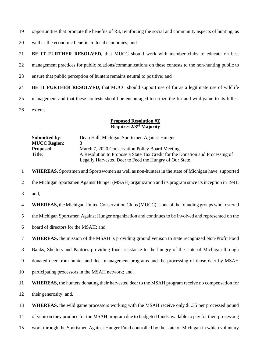opportunities that promote the benefits of R3, reinforcing the social and community aspects of hunting, as

- well as the economic benefits to local economies; and
- **BE IT FURTHER RESOLVED,** that MUCC should work with member clubs to educate on best

management practices for public relations/communications on these contests to the non-hunting public to

- ensure that public perception of hunters remains neutral to positive; and
- **BE IT FURTHER RESOLVED**, that MUCC should support use of fur as a legitimate use of wildlife

management and that these contests should be encouraged to utilize the fur and wild game to its fullest

extent.

## **Proposed Resolution #Z Requires 2/3rd Majority**

| Submitted by:       | Dean Hall, Michigan Sportsmen Against Hunger                                  |
|---------------------|-------------------------------------------------------------------------------|
| <b>MUCC Region:</b> |                                                                               |
| <b>Proposed:</b>    | March 7, 2020 Conservation Policy Board Meeting                               |
| Title:              | A Resolution to Propose a State Tax Credit for the Donation and Processing of |
|                     | Legally Harvested Deer to Feed the Hungry of Our State                        |

**WHEREAS,** Sportsmen and Sportswomen as well as non-hunters in the state of Michigan have supported

the Michigan Sportsmen Against Hunger (MSAH) organization and its program since its inception in 1991;

and,

**WHEREAS,** the Michigan United Conservation Clubs(MUCC) is one of the founding groups who fostered

the Michigan Sportsmen Against Hunger organization and continues to be involved and represented on the

board of directors for the MSAH; and,

**WHEREAS,** the mission of the MSAH is providing ground venison to state recognized Non-Profit Food

Banks, Shelters and Pantries providing food assistance to the hungry of the state of Michigan through

donated deer from hunter and deer management programs and the processing of those deer by MSAH

participating processors in the MSAH network; and,

**WHEREAS,** the hunters donating their harvested deer to the MSAH program receive no compensation for

their generosity; and,

**WHEREAS,** the wild game processors working with the MSAH receive only \$1.35 per processed pound

of venison they produce for the MSAH program due to budgeted funds available to pay for their processing

work through the Sportsmen Against Hunger Fund controlled by the state of Michigan in which voluntary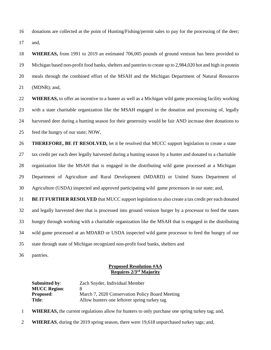donations are collected at the point of Hunting/Fishing/permit sales to pay for the processing of the deer; and,

 **WHEREAS,** from 1991 to 2019 an estimated 706,005 pounds of ground venison has been provided to Michigan based non-profit food banks, shelters and pantries to create up to 2,984,020 hot and high in protein meals through the combined effort of the MSAH and the Michigan Department of Natural Resources (MDNR); and,

 **WHEREAS,** to offer an incentive to a hunter as well as a Michigan wild game processing facility working with a state charitable organization like the MSAH engaged in the donation and processing of, legally harvested deer during a hunting season for their generosity would be fair AND increase deer donations to feed the hungry of our state; NOW,

 **THEREFORE, BE IT RESOLVED,** let it be resolved that MUCC support legislation to create a state tax credit per each deer legally harvested during a hunting season by a hunter and donated to a charitable organization like the MSAH that is engaged in the distributing wild game processed at a Michigan Department of Agriculture and Rural Development (MDARD) or United States Department of Agriculture (USDA) inspected and approved participating wild game processors in our state; and,

 **BE IT FURTHER RESOLVED** that MUCC support legislation to also create a tax credit per each donated and legally harvested deer that is processed into ground venison burger by a processor to feed the states hungry through working with a charitable organization like the MSAH that is engaged in the distributing wild game processed at an MDARD or USDA inspected wild game processor to feed the hungry of our state through state of Michigan recognized non-profit food banks, shelters and

pantries.

#### **Proposed Resolution #AA Requires 2/3rd Majority**

| <b>Submitted by:</b> | Zach Snyder, Individual Member                  |
|----------------------|-------------------------------------------------|
| <b>MUCC Region:</b>  | x                                               |
| <b>Proposed:</b>     | March 7, 2020 Conservation Policy Board Meeting |
| Title:               | Allow hunters one leftover spring turkey tag.   |

- **WHEREAS,** the current regulations allow for hunters to only purchase one spring turkey tag; and,
- **WHEREAS**, during the 2019 spring season, there were 19,618 unpurchased turkey tags; and,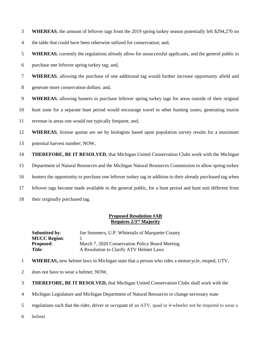**WHEREAS**, the amount of leftover tags from the 2019 spring turkey season potentially left \$294,270 on

the table that could have been otherwise utilized for conservation; and,

**WHEREAS**, currently the regulations already allow for unsuccessful applicants, and the general public to

purchase one leftover spring turkey tag; and,

**WHEREAS**, allowing the purchase of one additional tag would further increase opportunity afield and

generate more conservation dollars; and,

**WHEREAS**, allowing hunters to purchase leftover spring turkey tags for areas outside of their original

hunt zone for a separate hunt period would encourage travel to other hunting zones, generating tourist

revenue in areas one would not typically frequent; and,

**WHEREAS**, license quotas are set by biologists based upon population survey results for a maximum

potential harvest number; NOW,

**THEREFORE, BE IT RESOLVED**, that Michigan United Conservation Clubs work with the Michigan

Department of Natural Resources and the Michigan Natural Resources Commission to allow spring turkey

hunters the opportunity to purchase one leftover turkey tag in addition to their already purchased tag when

leftover tags become made available to the general public, for a hunt period and hunt unit different from

their originally purchased tag.

## **Proposed Resolution #AB Requires 2/3rd Majority**

| <b>Submitted by:</b> | Joe Sommers, U.P. Whitetails of Marquette County |
|----------------------|--------------------------------------------------|
| <b>MUCC Region:</b>  |                                                  |
| <b>Proposed:</b>     | March 7, 2020 Conservation Policy Board Meeting  |
| Title:               | A Resolution to Clarify ATV Helmet Laws          |

**WHEREAS,** new helmet laws in Michigan state that a person who rides a motorcycle, moped, UTV,

does not have to wear a helmet; NOW,

**THEREFORE, BE IT RESOLVED,** that Michigan United Conservation Clubs shall work with the

Michigan Legislature and Michigan Department of Natural Resources to change necessary state

regulations such that the rider, driver or occupant of an ATV, quad or 4-wheeler not be required to wear a

helmet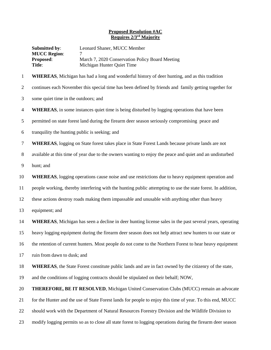## **Proposed Resolution #AC Requires 2/3rd Majority**

| <b>Submitted by:</b><br><b>MUCC Region:</b> | Leonard Shaner, MUCC Member                     |
|---------------------------------------------|-------------------------------------------------|
| <b>Proposed:</b>                            | March 7, 2020 Conservation Policy Board Meeting |
| Title:                                      | Michigan Hunter Quiet Time                      |

**WHEREAS**, Michigan has had a long and wonderful history of deer hunting, and as this tradition

continues each November this special time has been defined by friends and family getting together for

- some quiet time in the outdoors; and
- **WHEREAS**, in some instances quiet time is being disturbed by logging operations that have been

permitted on state forest land during the firearm deer season seriously compromising peace and

- tranquility the hunting public is seeking; and
- **WHEREAS**, logging on State forest takes place in State Forest Lands because private lands are not
- available at this time of year due to the owners wanting to enjoy the peace and quiet and an undisturbed
- hunt; and

**WHEREAS**, logging operations cause noise and use restrictions due to heavy equipment operation and

people working, thereby interfering with the hunting public attempting to use the state forest. In addition,

- these actions destroy roads making them impassable and unusable with anything other than heavy
- equipment; and
- **WHEREAS**, Michigan has seen a decline in deer hunting license sales in the past several years, operating

heavy logging equipment during the firearm deer season does not help attract new hunters to our state or

the retention of current hunters. Most people do not come to the Northern Forest to hear heavy equipment

ruin from dawn to dusk; and

**WHEREAS**, the State Forest constitute public lands and are in fact owned by the citizenry of the state,

and the conditions of logging contracts should be stipulated on their behalf; NOW,

**THEREFORE, BE IT RESOLVED**, Michigan United Conservation Clubs (MUCC) remain an advocate

for the Hunter and the use of State Forest lands for people to enjoy this time of year. To this end, MUCC

should work with the Department of Natural Resources Forestry Division and the Wildlife Division to

modify logging permits so as to close all state forest to logging operations during the firearm deer season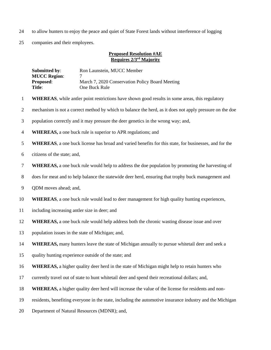- to allow hunters to enjoy the peace and quiet of State Forest lands without interference of logging
- companies and their employees.

#### **Proposed Resolution #AE Requires 2/3rd Majority**

| <b>Submitted by:</b> | Ron Launstein, MUCC Member                      |
|----------------------|-------------------------------------------------|
| <b>MUCC Region:</b>  |                                                 |
| <b>Proposed:</b>     | March 7, 2020 Conservation Policy Board Meeting |
| <b>Title:</b>        | One Buck Rule                                   |
|                      |                                                 |

- **WHEREAS**, while antler point restrictions have shown good results in some areas, this regulatory
- mechanism is not a correct method by which to balance the herd, as it does not apply pressure on the doe
- population correctly and it may pressure the deer genetics in the wrong way; and,
- **WHEREAS,** a one buck rule is superior to APR regulations; and
- **WHEREAS**, a one buck license has broad and varied benefits for this state, for businesses, and for the
- citizens of the state; and,
- **WHEREAS,** a one buck rule would help to address the doe population by promoting the harvesting of
- does for meat and to help balance the statewide deer herd, ensuring that trophy buck management and
- QDM moves ahead; and,
- **WHEREAS**, a one buck rule would lead to deer management for high quality hunting experiences,
- including increasing antler size in deer; and
- **WHEREAS,** a one buck rule would help address both the chronic wasting disease issue and over
- population issues in the state of Michigan; and,

**WHEREAS,** many hunters leave the state of Michigan annually to pursue whitetail deer and seek a

- quality hunting experience outside of the state; and
- **WHEREAS,** a higher quality deer herd in the state of Michigan might help to retain hunters who
- currently travel out of state to hunt whitetail deer and spend their recreational dollars; and,
- **WHEREAS,** a higher quality deer herd will increase the value of the license for residents and non-
- residents, benefiting everyone in the state, including the automotive insurance industry and the Michigan
- Department of Natural Resources (MDNR); and,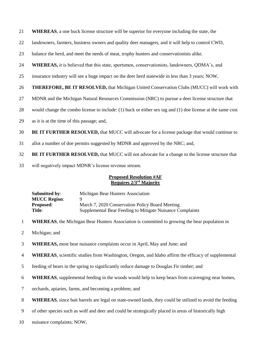- **WHEREAS**, a one buck license structure will be superior for everyone including the state, the
- landowners, farmers, business owners and quality deer managers, and it will help to control CWD,
- balance the herd, and meet the needs of meat, trophy hunters and conservationists alike.
- **WHEREAS,** it is believed that this state, sportsmen, conservationists, landowners, QDMA's, and
- insurance industry will see a huge impact on the deer herd statewide in less than 3 years; NOW,

#### **THEREFORE, BE IT RESOLVED,** that Michigan United Conservation Clubs (MUCC) will work with

- MDNR and the Michigan Natural Resources Commission (NRC) to pursue a deer license structure that
- would change the combo license to include: (1) buck or either sex tag and (1) doe license at the same cost
- as it is at the time of this passage; and,
- **BE IT FURTHER RESOLVED,** that MUCC will advocate for a license package that would continue to
- allot a number of doe permits suggested by MDNR and approved by the NRC; and,
- **BE IT FURTHER RESOLVED,** that MUCC will not advocate for a change to the license structure that
- will negatively impact MDNR's license revenue stream.

## **Proposed Resolution #AF Requires 2/3rd Majority**

**Submitted by:** Michigan Bear Hunters Association **MUCC Region:** 9 **Proposed:** March 7, 2020 Conservation Policy Board Meeting **Title:** Supplemental Bear Feeding to Mitigate Nuisance Complaints

- **WHEREAS**, the Michigan Bear Hunters Association is committed to growing the bear population in
- Michigan; and
- **WHEREAS,** most bear nuisance complaints occur in April, May and June; and
- **WHEREAS**, scientific studies from Washington, Oregon, and Idaho affirm the efficacy of supplemental
- feeding of bears in the spring to significantly reduce damage to Douglas Fir timber; and
- **WHEREAS**, supplemental feeding in the woods would help to keep bears from scavenging near homes,
- orchards, apiaries, farms, and becoming a problem; and
- **WHEREAS**, since bait barrels are legal on state-owned lands, they could be utilized to avoid the feeding
- of other species such as wolf and deer and could be strategically placed in areas of historically high
- nuisance complaints; NOW,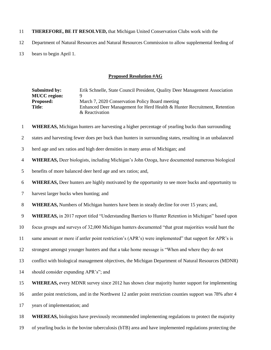- **THEREFORE, BE IT RESOLVED,** that Michigan United Conservation Clubs work with the
- Department of Natural Resources and Natural Resources Commission to allow supplemental feeding of
- bears to begin April 1.

#### **Proposed Resolution #AG**

| <b>Submitted by:</b> | Erik Schnelle, State Council President, Quality Deer Management Association |
|----------------------|-----------------------------------------------------------------------------|
| <b>MUCC</b> region:  | Ч                                                                           |
| <b>Proposed:</b>     | March 7, 2020 Conservation Policy Board meeting                             |
| <b>Title:</b>        | Enhanced Deer Management for Herd Health & Hunter Recruitment, Retention    |
|                      | & Reactivation                                                              |

**WHEREAS,** Michigan hunters are harvesting a higher percentage of yearling bucks than surrounding

- states and harvesting fewer does per buck than hunters in surrounding states, resulting in an unbalanced
- herd age and sex ratios and high deer densities in many areas of Michigan; and
- **WHEREAS,** Deer biologists, including Michigan's John Ozoga, have documented numerous biological
- benefits of more balanced deer herd age and sex ratios; and,
- **WHEREAS,** Deer hunters are highly motivated by the opportunity to see more bucks and opportunity to
- harvest larger bucks when hunting; and
- **WHEREAS,** Numbers of Michigan hunters have been in steady decline for over 15 years; and,

**WHEREAS,** in 2017 report titled "Understanding Barriers to Hunter Retention in Michigan" based upon

- focus groups and surveys of 32,000 Michigan hunters documented "that great majorities would hunt the
- same amount or more if antler point restriction's (APR's) were implemented" that support for APR's is
- strongest amongst younger hunters and that a take home message is "When and where they do not
- conflict with biological management objectives, the Michigan Department of Natural Resources (MDNR)
- should consider expanding APR's"; and
- **WHEREAS,** every MDNR survey since 2012 has shown clear majority hunter support for implementing
- antler point restrictions, and in the Northwest 12 antler point restriction counties support was 78% after 4
- years of implementation; and
- **WHEREAS,** biologists have previously recommended implementing regulations to protect the majority
- of yearling bucks in the bovine tuberculosis (bTB) area and have implemented regulations protecting the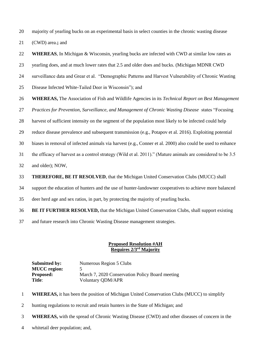majority of yearling bucks on an experimental basis in select counties in the chronic wasting disease

(CWD) area.**;** and

**WHEREAS**, In Michigan & Wisconsin, yearling bucks are infected with CWD at similar low rates as

yearling does, and at much lower rates that 2.5 and older does and bucks. (Michigan MDNR CWD

surveillance data and Grear et al. "Demographic Patterns and Harvest Vulnerability of Chronic Wasting

Disease Infected White-Tailed Deer in Wisconsin"); and

**WHEREAS,** The Association of Fish and Wildlife Agencies in its *Technical Report on Best Management* 

*Practices for Prevention, Surveillance, and Management of Chronic Wasting Disease* states "Focusing

harvest of sufficient intensity on the segment of the population most likely to be infected could help

reduce disease prevalence and subsequent transmission (e.g., Potapov et al. 2016). Exploiting potential

biases in removal of infected animals via harvest (e.g., Conner et al. 2000) also could be used to enhance

the efficacy of harvest as a control strategy (Wild et al. 2011)." (Mature animals are considered to be 3.5

and older); NOW,

**THEREFORE, BE IT RESOLVED**, that the Michigan United Conservation Clubs (MUCC) shall

support the education of hunters and the use of hunter-landowner cooperatives to achieve more balanced

deer herd age and sex ratios, in part, by protecting the majority of yearling bucks.

**BE IT FURTHER RESOLVED,** that the Michigan United Conservation Clubs, shall support existing

and future research into Chronic Wasting Disease management strategies.

## **Proposed Resolution #AH Requires 2/3rd Majority**

**Submitted by:** Numerous Region 5 Clubs **MUCC** region: **Proposed:** March 7, 2020 Conservation Policy Board meeting Title: Voluntary ODM/APR

**WHEREAS,** it has been the position of Michigan United Conservation Clubs (MUCC) to simplify

hunting regulations to recruit and retain hunters in the State of Michigan; and

**WHEREAS,** with the spread of Chronic Wasting Disease (CWD) and other diseases of concern in the

whitetail deer population; and,